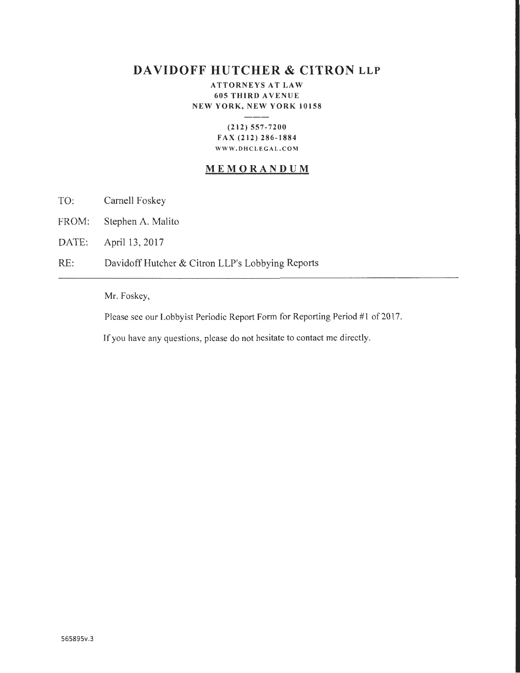# **DAVIDOFF HUTCHER & CITRON LLP**

ATTORNEYS AT LAW 605 THIRD AVENUE NEW YORK, NEW YORK 10158

### (212) 557-7200 FAX (212) 286-1884 WWW.DHCLEGAL.COM

## MEMORANDUM

- TO: Carnell Foskey
- FROM: Stephen A. Malito
- DATE: April 13, 2017
- RE: Davidoff Hutcher & Citron LLP's Lobbying Reports

## Mr. Foskey,

Please see our Lobbyist Periodic Report Form for Reporting Period #I of 2017.

If you have any questions, please do not hesitate to contact me directly.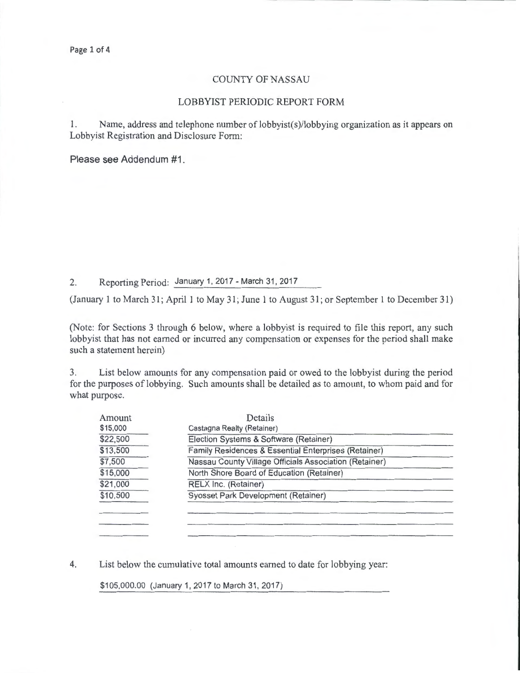#### COUNTY OF NASSAU

#### LOBBYIST PERIODIC REPORT FORM

1. Name, address and telephone number of lobbyist(s)/lobbying organization as it appears on Lobbyist Registration and Disclosure Form:

Please see Addendum #1.

2. Reporting Period: January 1, 2017- March 31, 2017

(January 1 to March 31; April 1 to May 31; June 1 to August 31; or September 1 to December 31)

(Note: for Sections 3 through 6 below, where a lobbyist is required to file this report, any such lobbyist that has not earned or incurred any compensation or expenses for the period shall make such a statement herein)

3. List below amounts for any compensation paid or owed to the lobbyist during the period for the purposes of lobbying. Such amounts shall be detailed as to amount, to whom paid and for what purpose.

| Amount   | Details                                                |  |  |  |
|----------|--------------------------------------------------------|--|--|--|
| \$15,000 | Castagna Realty (Retainer)                             |  |  |  |
| \$22,500 | Election Systems & Software (Retainer)                 |  |  |  |
| \$13,500 | Family Residences & Essential Enterprises (Retainer)   |  |  |  |
| \$7,500  | Nassau County Village Officials Association (Retainer) |  |  |  |
| \$15,000 | North Shore Board of Education (Retainer)              |  |  |  |
| \$21,000 | RELX Inc. (Retainer)                                   |  |  |  |
| \$10,500 | Syosset Park Development (Retainer)                    |  |  |  |
|          |                                                        |  |  |  |
|          |                                                        |  |  |  |
|          |                                                        |  |  |  |

4. List below the cumulative total amounts earned to date for lobbying year:

\$105,000.00 (January 1, 2017 to March 31, 2017)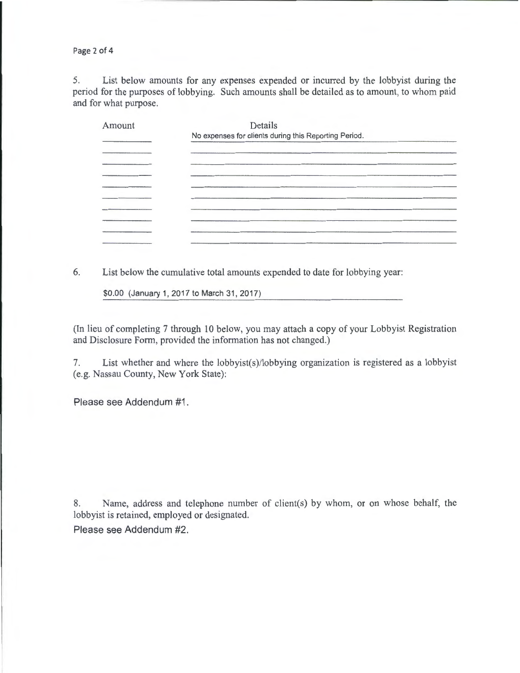Page 2 of 4

5. List below amounts for any expenses expended or incurred by the lobbyist during the period for the purposes of lobbying. Such amounts shall be detailed as to amount, to whom paid and for what purpose.

| Amount | Details                                               |  |
|--------|-------------------------------------------------------|--|
|        | No expenses for clients during this Reporting Period. |  |
|        |                                                       |  |
|        |                                                       |  |
|        |                                                       |  |
|        |                                                       |  |
|        |                                                       |  |
|        |                                                       |  |
|        |                                                       |  |
|        |                                                       |  |
|        |                                                       |  |
|        |                                                       |  |

6. List below the cumulative total amounts expended to date for lobbying year:

\$0.00 (January 1, 2017 to March 31, 2017)

(In lieu of completing 7 through 10 below, you may attach a copy of your Lobbyist Registration and Disclosure Form, provided the information has not changed.)

7. List whether and where the lobbyist(s)/lobbying organization is registered as a lobbyist (e.g. Nassau County, New York State):

Please see Addendum #1.

8. Name, address and telephone number of client(s) by whom, or on whose behalf, the lobbyist is retained, employed or designated.

Please see Addendum #2.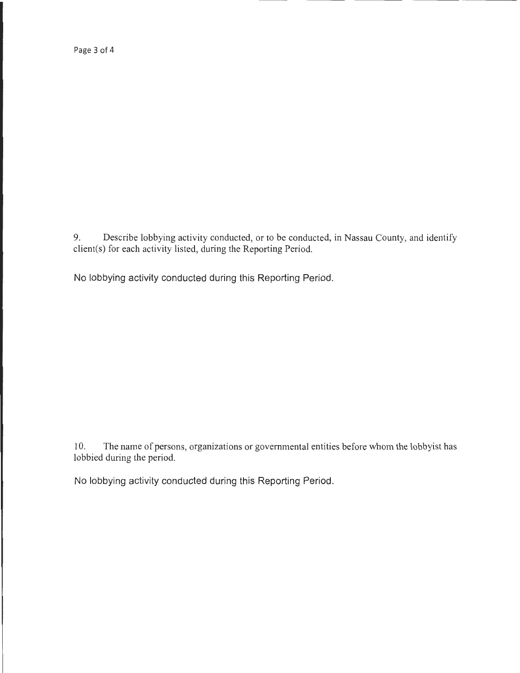Page 3 of 4

9. Describe lobbying activity conducted, or to be conducted, in Nassau County, and identify client(s) for each activity listed, during the Reporting Period.

No lobbying activity conducted during this Reporting Period.

10. The name of persons, organizations or governmental entities before whom the lobbyist has lobbied during the period.

No lobbying activity conducted during this Reporting Period.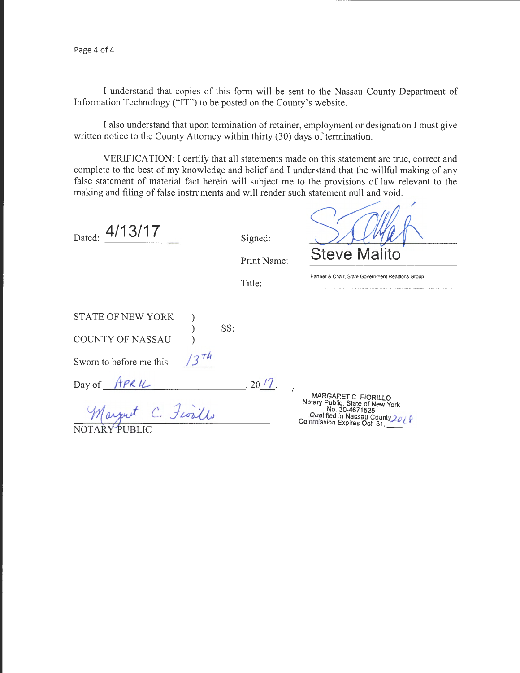I understand that copies of this form will be sent to the Nassau County Department of Information Technology ("IT") to be posted on the County's website.

I also understand that upon termination of retainer, employment or designation I must give written notice to the County Attorney within thirty (30) days of termination.

VERIFICATION: I certify that all statements made on this statement are true, correct and complete to the best of my knowledge and belief and I understand that the willful making of any false statement of material fact herein will subject me to the provisions of law relevant to the making and filing of false instruments and will render such statement null and void.

| 4/13/17<br>Dated:                                                       |     |     | Signed:<br>Print Name: | <b>Steve Malito</b>                                                                                           |
|-------------------------------------------------------------------------|-----|-----|------------------------|---------------------------------------------------------------------------------------------------------------|
|                                                                         |     |     | Title:                 | Partner & Chair, State Government Realtions Group                                                             |
| STATE OF NEW YORK<br><b>COUNTY OF NASSAU</b><br>Sworn to before me this | 2th | SS: |                        |                                                                                                               |
| Day of APRIL<br>C. Fiorillo<br>arjust<br>NOTARY PUBLIC                  |     |     | , 20/7.                | MARGARET C. FIORILLO<br>Notary Public, State of New York<br>No. 30-4671525<br>Qualified in Nassau County 2018 |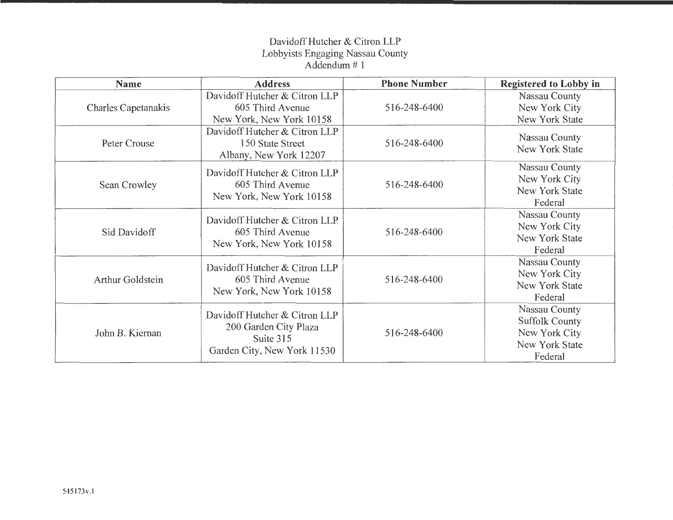## Davidoff Hutcher & Citron LLP Lobbyists Engaging Nassau County Addendum# 1

| <b>Name</b>                | <b>Address</b>                                                                                     | <b>Phone Number</b> | <b>Registered to Lobby in</b>                                                        |
|----------------------------|----------------------------------------------------------------------------------------------------|---------------------|--------------------------------------------------------------------------------------|
| <b>Charles Capetanakis</b> | Davidoff Hutcher & Citron LLP<br>605 Third Avenue<br>New York, New York 10158                      | 516-248-6400        | Nassau County<br>New York City<br>New York State                                     |
| Peter Crouse               | Davidoff Hutcher & Citron LLP<br>150 State Street<br>Albany, New York 12207                        | 516-248-6400        | Nassau County<br>New York State                                                      |
| Sean Crowley               | Davidoff Hutcher & Citron LLP<br>605 Third Avenue<br>New York, New York 10158                      | 516-248-6400        | Nassau County<br>New York City<br>New York State<br>Federal                          |
| Sid Davidoff               | Davidoff Hutcher & Citron LLP<br>605 Third Avenue<br>New York, New York 10158                      | 516-248-6400        | Nassau County<br>New York City<br><b>New York State</b><br>Federal                   |
| Arthur Goldstein           | Davidoff Hutcher & Citron LLP<br>605 Third Avenue<br>New York, New York 10158                      | 516-248-6400        | Nassau County<br>New York City<br><b>New York State</b><br>Federal                   |
| John B. Kiernan            | Davidoff Hutcher & Citron LLP<br>200 Garden City Plaza<br>Suite 315<br>Garden City, New York 11530 | 516-248-6400        | Nassau County<br><b>Suffolk County</b><br>New York City<br>New York State<br>Federal |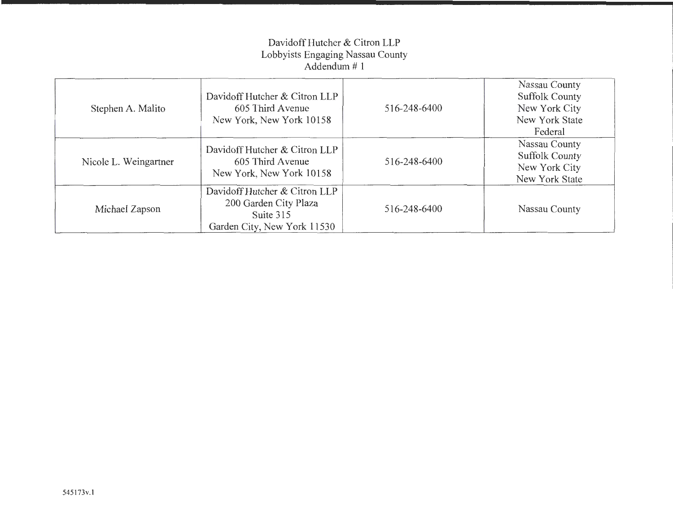## Davidoff Hutcher & Citron LLP Lobbyists Engaging Nassau County Addendum # 1

| Stephen A. Malito     | Davidoff Hutcher & Citron LLP<br>605 Third Avenue<br>New York, New York 10158                      | 516-248-6400 | Nassau County<br><b>Suffolk County</b><br>New York City<br>New York State<br>Federal |
|-----------------------|----------------------------------------------------------------------------------------------------|--------------|--------------------------------------------------------------------------------------|
| Nicole L. Weingartner | Davidoff Hutcher & Citron LLP<br>605 Third Avenue<br>New York, New York 10158                      | 516-248-6400 | Nassau County<br><b>Suffolk County</b><br>New York City<br>New York State            |
| Michael Zapson        | Davidoff Hutcher & Citron LLP<br>200 Garden City Plaza<br>Suite 315<br>Garden City, New York 11530 | 516-248-6400 | Nassau County                                                                        |